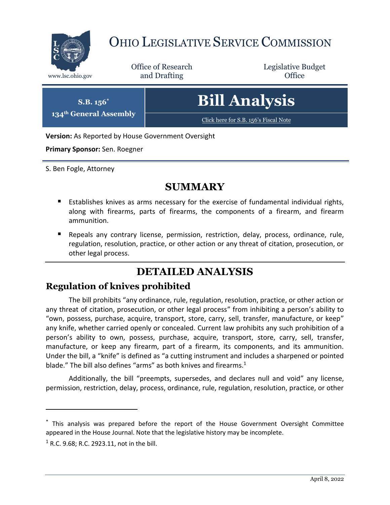

# OHIO LEGISLATIVE SERVICE COMMISSION

Office of Research www.lsc.ohio.gov **and Drafting Office** 

Legislative Budget



**Version:** As Reported by House Government Oversight

**Primary Sponsor:** Sen. Roegner

**S.B. 156\* 134th General Assembly**

S. Ben Fogle, Attorney

## **SUMMARY**

- Establishes knives as arms necessary for the exercise of fundamental individual rights, along with firearms, parts of firearms, the components of a firearm, and firearm ammunition.
- Repeals any contrary license, permission, restriction, delay, process, ordinance, rule, regulation, resolution, practice, or other action or any threat of citation, prosecution, or other legal process.

# **DETAILED ANALYSIS**

#### **Regulation of knives prohibited**

The bill prohibits "any ordinance, rule, regulation, resolution, practice, or other action or any threat of citation, prosecution, or other legal process" from inhibiting a person's ability to "own, possess, purchase, acquire, transport, store, carry, sell, transfer, manufacture, or keep" any knife, whether carried openly or concealed. Current law prohibits any such prohibition of a person's ability to own, possess, purchase, acquire, transport, store, carry, sell, transfer, manufacture, or keep any firearm, part of a firearm, its components, and its ammunition. Under the bill, a "knife" is defined as "a cutting instrument and includes a sharpened or pointed blade." The bill also defines "arms" as both knives and firearms. $1$ 

Additionally, the bill "preempts, supersedes, and declares null and void" any license, permission, restriction, delay, process, ordinance, rule, regulation, resolution, practice, or other

 $\overline{a}$ 

<sup>\*</sup> This analysis was prepared before the report of the House Government Oversight Committee appeared in the House Journal. Note that the legislative history may be incomplete.

 $1$  R.C. 9.68; R.C. 2923.11, not in the bill.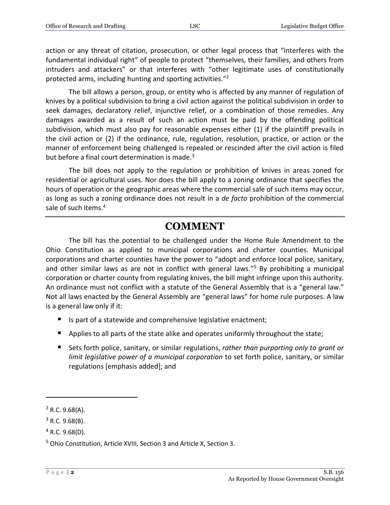action or any threat of citation, prosecution, or other legal process that "interferes with the fundamental individual right" of people to protect "themselves, their families, and others from intruders and attackers" or that interferes with "other legitimate uses of constitutionally protected arms, including hunting and sporting activities."<sup>2</sup>

The bill allows a person, group, or entity who is affected by any manner of regulation of knives by a political subdivision to bring a civil action against the political subdivision in order to seek damages, declaratory relief, injunctive relief, or a combination of those remedies. Any damages awarded as a result of such an action must be paid by the offending political subdivision, which must also pay for reasonable expenses either (1) if the plaintiff prevails in the civil action or (2) if the ordinance, rule, regulation, resolution, practice, or action or the manner of enforcement being challenged is repealed or rescinded after the civil action is filed but before a final court determination is made.<sup>3</sup>

The bill does not apply to the regulation or prohibition of knives in areas zoned for residential or agricultural uses. Nor does the bill apply to a zoning ordinance that specifies the hours of operation or the geographic areas where the commercial sale of such items may occur, as long as such a zoning ordinance does not result in a *de facto* prohibition of the commercial sale of such items.<sup>4</sup>

### **COMMENT**

The bill has the potential to be challenged under the Home Rule Amendment to the Ohio Constitution as applied to municipal corporations and charter counties. Municipal corporations and charter counties have the power to "adopt and enforce local police, sanitary, and other similar laws as are not in conflict with general laws."<sup>5</sup> By prohibiting a municipal corporation or charter county from regulating knives, the bill might infringe upon this authority. An ordinance must not conflict with a statute of the General Assembly that is a "general law." Not all laws enacted by the General Assembly are "general laws" for home rule purposes. A law is a general law only if it:

- Is part of a statewide and comprehensive legislative enactment;
- Applies to all parts of the state alike and operates uniformly throughout the state;
- Sets forth police, sanitary, or similar regulations, *rather than purporting only to grant or limit legislative power of a municipal corporation* to set forth police, sanitary, or similar regulations [emphasis added]; and

 $\overline{a}$ 

 $2$  R.C. 9.68(A).

 $3$  R.C. 9.68(B).

 $4$  R.C. 9.68(D).

<sup>5</sup> Ohio Constitution, Article XVIII, Section 3 and Article X, Section 3.